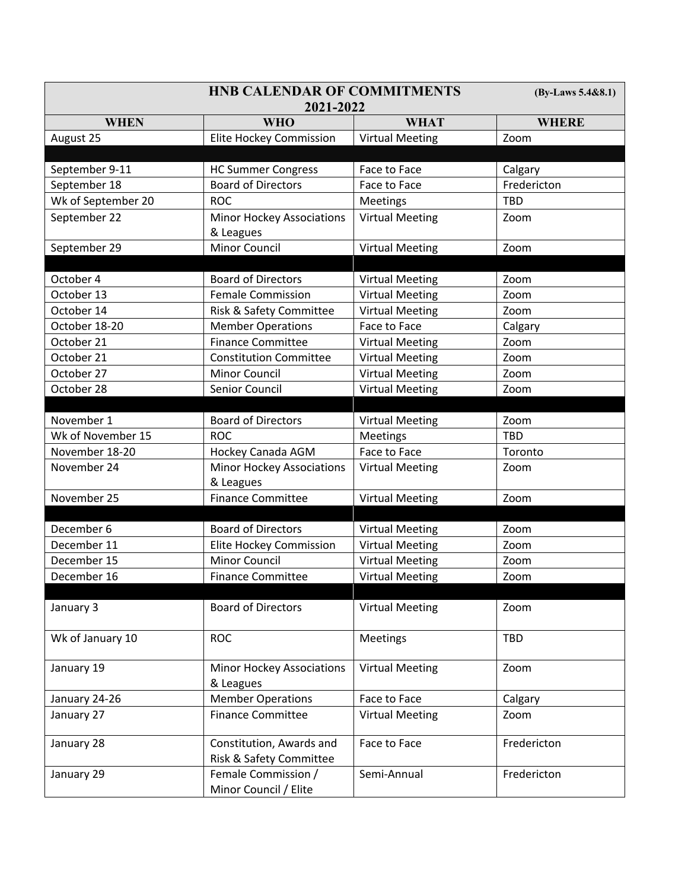|                    | (By-Laws 5.4&8.1)                |                        |              |
|--------------------|----------------------------------|------------------------|--------------|
|                    |                                  |                        |              |
| <b>WHEN</b>        | <b>WHO</b>                       | <b>WHAT</b>            | <b>WHERE</b> |
| August 25          | <b>Elite Hockey Commission</b>   | <b>Virtual Meeting</b> | Zoom         |
|                    |                                  |                        |              |
| September 9-11     | <b>HC Summer Congress</b>        | Face to Face           | Calgary      |
| September 18       | <b>Board of Directors</b>        | Face to Face           | Fredericton  |
| Wk of September 20 | <b>ROC</b>                       | Meetings               | <b>TBD</b>   |
| September 22       | Minor Hockey Associations        | <b>Virtual Meeting</b> | Zoom         |
|                    | & Leagues                        |                        |              |
| September 29       | Minor Council                    | <b>Virtual Meeting</b> | Zoom         |
|                    |                                  |                        |              |
| October 4          | <b>Board of Directors</b>        | <b>Virtual Meeting</b> | Zoom         |
| October 13         | <b>Female Commission</b>         | <b>Virtual Meeting</b> | Zoom         |
| October 14         | Risk & Safety Committee          | <b>Virtual Meeting</b> | Zoom         |
| October 18-20      | <b>Member Operations</b>         | Face to Face           | Calgary      |
| October 21         | <b>Finance Committee</b>         | <b>Virtual Meeting</b> | Zoom         |
| October 21         | <b>Constitution Committee</b>    | <b>Virtual Meeting</b> | Zoom         |
| October 27         | <b>Minor Council</b>             | <b>Virtual Meeting</b> | Zoom         |
| October 28         | Senior Council                   | <b>Virtual Meeting</b> | Zoom         |
|                    |                                  |                        |              |
| November 1         | <b>Board of Directors</b>        | <b>Virtual Meeting</b> | Zoom         |
| Wk of November 15  | <b>ROC</b>                       | Meetings               | <b>TBD</b>   |
| November 18-20     | Hockey Canada AGM                | Face to Face           | Toronto      |
| November 24        | <b>Minor Hockey Associations</b> | <b>Virtual Meeting</b> | Zoom         |
|                    | & Leagues                        |                        |              |
| November 25        | <b>Finance Committee</b>         | <b>Virtual Meeting</b> | Zoom         |
|                    |                                  |                        |              |
| December 6         | <b>Board of Directors</b>        | <b>Virtual Meeting</b> | Zoom         |
| December 11        | <b>Elite Hockey Commission</b>   | <b>Virtual Meeting</b> | Zoom         |
| December 15        | <b>Minor Council</b>             | <b>Virtual Meeting</b> | Zoom         |
| December 16        | <b>Finance Committee</b>         | <b>Virtual Meeting</b> | Zoom         |
|                    |                                  |                        |              |
| January 3          | <b>Board of Directors</b>        | <b>Virtual Meeting</b> | Zoom         |
|                    |                                  |                        |              |
| Wk of January 10   | <b>ROC</b>                       | Meetings               | <b>TBD</b>   |
|                    |                                  |                        |              |
| January 19         | <b>Minor Hockey Associations</b> | <b>Virtual Meeting</b> | Zoom         |
|                    | & Leagues                        |                        |              |
| January 24-26      | <b>Member Operations</b>         | Face to Face           | Calgary      |
| January 27         | <b>Finance Committee</b>         | <b>Virtual Meeting</b> | Zoom         |
| January 28         | Constitution, Awards and         | Face to Face           | Fredericton  |
|                    | Risk & Safety Committee          |                        |              |
| January 29         | Female Commission /              | Semi-Annual            | Fredericton  |
|                    | Minor Council / Elite            |                        |              |